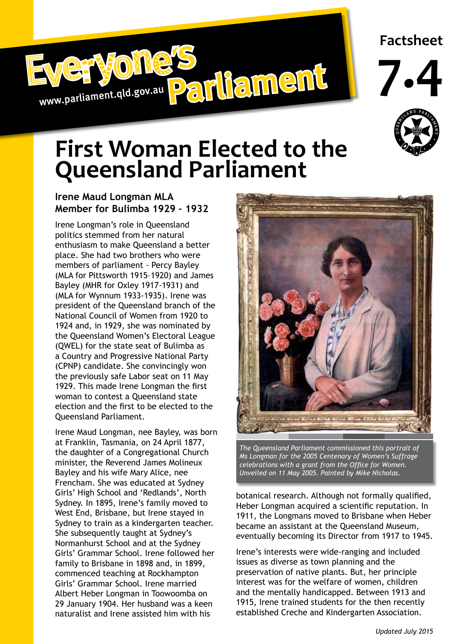

## **Factsheet**





## **First Woman Elected to the Queensland Parliament**

## **Irene Maud Longman MLA Member for Bulimba 1929 – 1932**

Irene Longman's role in Queensland politics stemmed from her natural enthusiasm to make Queensland a better place. She had two brothers who were members of parliament - Percy Bayley (MLA for Pittsworth 1915–1920) and James Bayley (MHR for Oxley 1917-1931) and (MLA for Wynnum 1933-1935). Irene was president of the Queensland branch of the National Council of Women from 1920 to 1924 and, in 1929, she was nominated by the Queensland Women's Electoral League (QWEL) for the state seat of Bulimba as a Country and Progressive National Party (CPNP) candidate. She convincingly won the previously safe Labor seat on 11 May 1929. This made Irene Longman the first woman to contest a Queensland state election and the first to be elected to the Queensland Parliament.

Irene Maud Longman, nee Bayley, was born at Franklin, Tasmania, on 24 April 1877, the daughter of a Congregational Church minister, the Reverend James Molineux Bayley and his wife Mary Alice, nee Frencham. She was educated at Sydney Girls' High School and 'Redlands', North Sydney. In 1895, Irene's family moved to West End, Brisbane, but Irene stayed in Sydney to train as a kindergarten teacher. She subsequently taught at Sydney's Normanhurst School and at the Sydney Girls' Grammar School. Irene followed her family to Brisbane in 1898 and, in 1899, commenced teaching at Rockhampton Girls' Grammar School. Irene married Albert Heber Longman in Toowoomba on 29 January 1904. Her husband was a keen naturalist and Irene assisted him with his



*The Queensland Parliament commissioned this portrait of Ms Longman for the 2005 Centenary of Women's Suffrage celebrations with a grant from the Office for Women. Unveiled on 11 May 2005. Painted by Mike Nicholas.* 

botanical research. Although not formally qualified, Heber Longman acquired a scientific reputation. In 1911, the Longmans moved to Brisbane when Heber became an assistant at the Queensland Museum, eventually becoming its Director from 1917 to 1945.

Irene's interests were wide-ranging and included issues as diverse as town planning and the preservation of native plants. But, her principle interest was for the welfare of women, children and the mentally handicapped. Between 1913 and 1915, Irene trained students for the then recently established Creche and Kindergarten Association.